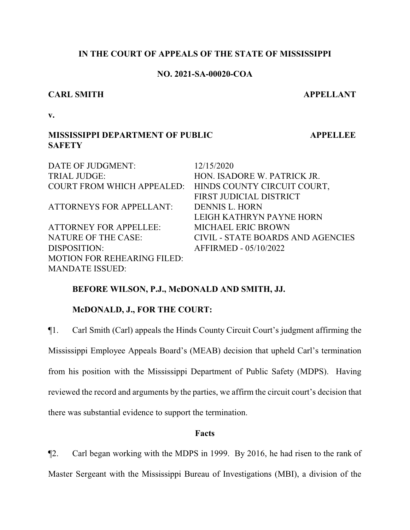## **IN THE COURT OF APPEALS OF THE STATE OF MISSISSIPPI**

## **NO. 2021-SA-00020-COA**

## **CARL SMITH APPELLANT**

**v.**

## **MISSISSIPPI DEPARTMENT OF PUBLIC SAFETY**

DATE OF JUDGMENT: 12/15/2020 TRIAL JUDGE: HON. ISADORE W. PATRICK JR. COURT FROM WHICH APPEALED: HINDS COUNTY CIRCUIT COURT, FIRST JUDICIAL DISTRICT ATTORNEYS FOR APPELLANT: DENNIS L. HORN LEIGH KATHRYN PAYNE HORN ATTORNEY FOR APPELLEE: MICHAEL ERIC BROWN NATURE OF THE CASE: CIVIL - STATE BOARDS AND AGENCIES DISPOSITION: AFFIRMED - 05/10/2022 MOTION FOR REHEARING FILED: MANDATE ISSUED:

## **BEFORE WILSON, P.J., McDONALD AND SMITH, JJ.**

## **McDONALD, J., FOR THE COURT:**

¶1. Carl Smith (Carl) appeals the Hinds County Circuit Court's judgment affirming the Mississippi Employee Appeals Board's (MEAB) decision that upheld Carl's termination from his position with the Mississippi Department of Public Safety (MDPS). Having reviewed the record and arguments by the parties, we affirm the circuit court's decision that there was substantial evidence to support the termination.

## **Facts**

¶2. Carl began working with the MDPS in 1999. By 2016, he had risen to the rank of Master Sergeant with the Mississippi Bureau of Investigations (MBI), a division of the

 **APPELLEE**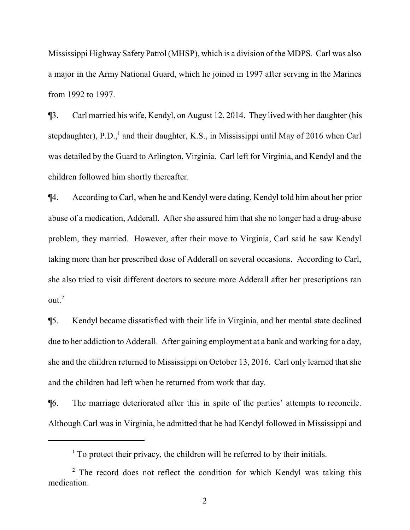Mississippi Highway Safety Patrol (MHSP), which is a division of the MDPS. Carl was also a major in the Army National Guard, which he joined in 1997 after serving in the Marines from 1992 to 1997.

¶3. Carl married his wife, Kendyl, on August 12, 2014. They lived with her daughter (his stepdaughter), P.D.,<sup>1</sup> and their daughter, K.S., in Mississippi until May of 2016 when Carl was detailed by the Guard to Arlington, Virginia. Carl left for Virginia, and Kendyl and the children followed him shortly thereafter.

¶4. According to Carl, when he and Kendyl were dating, Kendyl told him about her prior abuse of a medication, Adderall. After she assured him that she no longer had a drug-abuse problem, they married. However, after their move to Virginia, Carl said he saw Kendyl taking more than her prescribed dose of Adderall on several occasions. According to Carl, she also tried to visit different doctors to secure more Adderall after her prescriptions ran out. $2$ 

¶5. Kendyl became dissatisfied with their life in Virginia, and her mental state declined due to her addiction to Adderall. After gaining employment at a bank and working for a day, she and the children returned to Mississippi on October 13, 2016. Carl only learned that she and the children had left when he returned from work that day.

¶6. The marriage deteriorated after this in spite of the parties' attempts to reconcile. Although Carl was in Virginia, he admitted that he had Kendyl followed in Mississippi and

 $<sup>1</sup>$  To protect their privacy, the children will be referred to by their initials.</sup>

 $2$  The record does not reflect the condition for which Kendyl was taking this medication.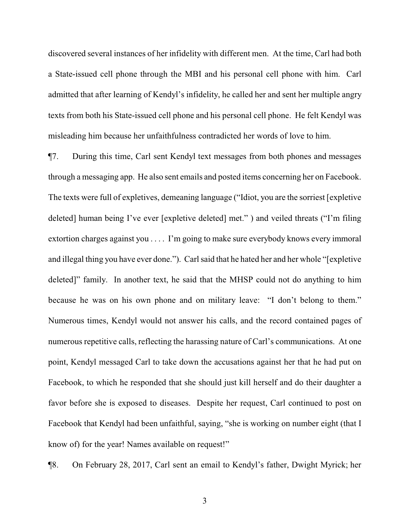discovered several instances of her infidelity with different men. At the time, Carl had both a State-issued cell phone through the MBI and his personal cell phone with him. Carl admitted that after learning of Kendyl's infidelity, he called her and sent her multiple angry texts from both his State-issued cell phone and his personal cell phone. He felt Kendyl was misleading him because her unfaithfulness contradicted her words of love to him.

¶7. During this time, Carl sent Kendyl text messages from both phones and messages through a messaging app. He also sent emails and posted items concerning her on Facebook. The texts were full of expletives, demeaning language ("Idiot, you are the sorriest [expletive deleted] human being I've ever [expletive deleted] met." ) and veiled threats ("I'm filing extortion charges against you . . . . I'm going to make sure everybody knows every immoral and illegal thing you have ever done."). Carl said that he hated her and her whole "[expletive deleted]" family. In another text, he said that the MHSP could not do anything to him because he was on his own phone and on military leave: "I don't belong to them." Numerous times, Kendyl would not answer his calls, and the record contained pages of numerous repetitive calls, reflecting the harassing nature of Carl's communications. At one point, Kendyl messaged Carl to take down the accusations against her that he had put on Facebook, to which he responded that she should just kill herself and do their daughter a favor before she is exposed to diseases. Despite her request, Carl continued to post on Facebook that Kendyl had been unfaithful, saying, "she is working on number eight (that I know of) for the year! Names available on request!"

¶8. On February 28, 2017, Carl sent an email to Kendyl's father, Dwight Myrick; her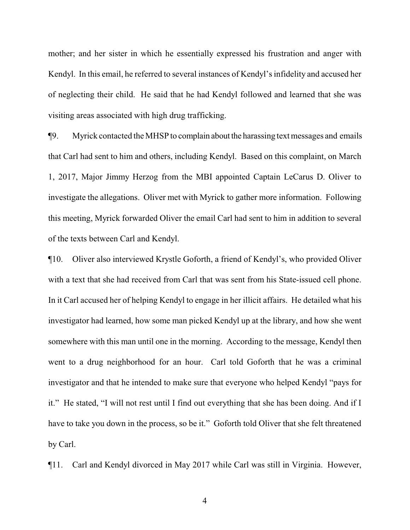mother; and her sister in which he essentially expressed his frustration and anger with Kendyl. In this email, he referred to several instances of Kendyl's infidelity and accused her of neglecting their child. He said that he had Kendyl followed and learned that she was visiting areas associated with high drug trafficking.

¶9. Myrick contacted the MHSP to complain aboutthe harassing text messages and emails that Carl had sent to him and others, including Kendyl. Based on this complaint, on March 1, 2017, Major Jimmy Herzog from the MBI appointed Captain LeCarus D. Oliver to investigate the allegations. Oliver met with Myrick to gather more information. Following this meeting, Myrick forwarded Oliver the email Carl had sent to him in addition to several of the texts between Carl and Kendyl.

¶10. Oliver also interviewed Krystle Goforth, a friend of Kendyl's, who provided Oliver with a text that she had received from Carl that was sent from his State-issued cell phone. In it Carl accused her of helping Kendyl to engage in her illicit affairs. He detailed what his investigator had learned, how some man picked Kendyl up at the library, and how she went somewhere with this man until one in the morning. According to the message, Kendyl then went to a drug neighborhood for an hour. Carl told Goforth that he was a criminal investigator and that he intended to make sure that everyone who helped Kendyl "pays for it." He stated, "I will not rest until I find out everything that she has been doing. And if I have to take you down in the process, so be it." Goforth told Oliver that she felt threatened by Carl.

¶11. Carl and Kendyl divorced in May 2017 while Carl was still in Virginia. However,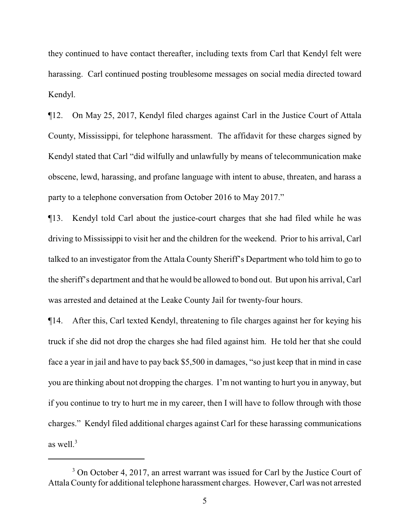they continued to have contact thereafter, including texts from Carl that Kendyl felt were harassing. Carl continued posting troublesome messages on social media directed toward Kendyl.

¶12. On May 25, 2017, Kendyl filed charges against Carl in the Justice Court of Attala County, Mississippi, for telephone harassment. The affidavit for these charges signed by Kendyl stated that Carl "did wilfully and unlawfully by means of telecommunication make obscene, lewd, harassing, and profane language with intent to abuse, threaten, and harass a party to a telephone conversation from October 2016 to May 2017."

¶13. Kendyl told Carl about the justice-court charges that she had filed while he was driving to Mississippi to visit her and the children for the weekend. Prior to his arrival, Carl talked to an investigator from the Attala County Sheriff's Department who told him to go to the sheriff's department and that he would be allowed to bond out. But upon his arrival, Carl was arrested and detained at the Leake County Jail for twenty-four hours.

¶14. After this, Carl texted Kendyl, threatening to file charges against her for keying his truck if she did not drop the charges she had filed against him. He told her that she could face a year in jail and have to pay back \$5,500 in damages, "so just keep that in mind in case you are thinking about not dropping the charges. I'm not wanting to hurt you in anyway, but if you continue to try to hurt me in my career, then I will have to follow through with those charges." Kendyl filed additional charges against Carl for these harassing communications as well. $3$ 

<sup>&</sup>lt;sup>3</sup> On October 4, 2017, an arrest warrant was issued for Carl by the Justice Court of Attala County for additional telephone harassment charges. However, Carl was not arrested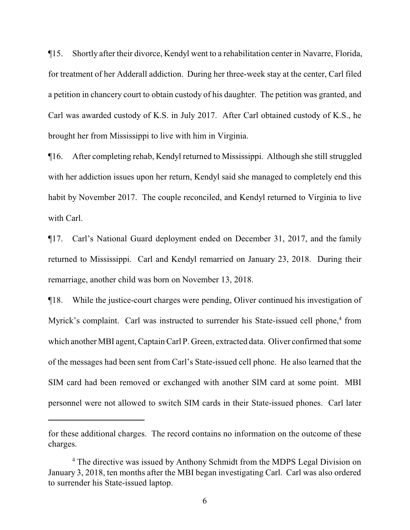¶15. Shortly after their divorce, Kendyl went to a rehabilitation center in Navarre, Florida, for treatment of her Adderall addiction. During her three-week stay at the center, Carl filed a petition in chancery court to obtain custody of his daughter. The petition was granted, and Carl was awarded custody of K.S. in July 2017. After Carl obtained custody of K.S., he brought her from Mississippi to live with him in Virginia.

¶16. After completing rehab, Kendyl returned to Mississippi. Although she still struggled with her addiction issues upon her return, Kendyl said she managed to completely end this habit by November 2017. The couple reconciled, and Kendyl returned to Virginia to live with Carl.

¶17. Carl's National Guard deployment ended on December 31, 2017, and the family returned to Mississippi. Carl and Kendyl remarried on January 23, 2018. During their remarriage, another child was born on November 13, 2018.

¶18. While the justice-court charges were pending, Oliver continued his investigation of Myrick's complaint. Carl was instructed to surrender his State-issued cell phone,<sup>4</sup> from which another MBI agent, Captain Carl P. Green, extracted data. Oliver confirmed that some of the messages had been sent from Carl's State-issued cell phone. He also learned that the SIM card had been removed or exchanged with another SIM card at some point. MBI personnel were not allowed to switch SIM cards in their State-issued phones. Carl later

for these additional charges. The record contains no information on the outcome of these charges.

<sup>&</sup>lt;sup>4</sup> The directive was issued by Anthony Schmidt from the MDPS Legal Division on January 3, 2018, ten months after the MBI began investigating Carl. Carl was also ordered to surrender his State-issued laptop.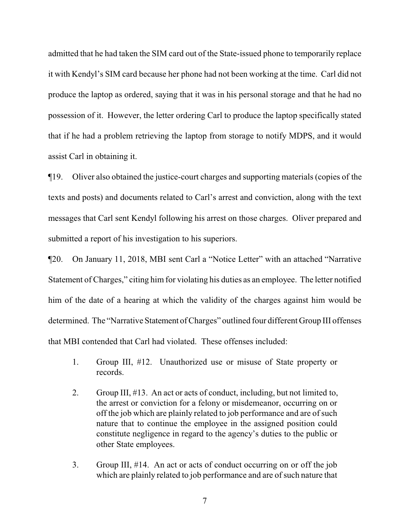admitted that he had taken the SIM card out of the State-issued phone to temporarily replace it with Kendyl's SIM card because her phone had not been working at the time. Carl did not produce the laptop as ordered, saying that it was in his personal storage and that he had no possession of it. However, the letter ordering Carl to produce the laptop specifically stated that if he had a problem retrieving the laptop from storage to notify MDPS, and it would assist Carl in obtaining it.

¶19. Oliver also obtained the justice-court charges and supporting materials (copies of the texts and posts) and documents related to Carl's arrest and conviction, along with the text messages that Carl sent Kendyl following his arrest on those charges. Oliver prepared and submitted a report of his investigation to his superiors.

¶20. On January 11, 2018, MBI sent Carl a "Notice Letter" with an attached "Narrative Statement of Charges," citing him for violating his duties as an employee. The letter notified him of the date of a hearing at which the validity of the charges against him would be determined. The "Narrative Statement of Charges" outlined four different Group III offenses that MBI contended that Carl had violated. These offenses included:

- 1. Group III, #12. Unauthorized use or misuse of State property or records.
- 2. Group III, #13. An act or acts of conduct, including, but not limited to, the arrest or conviction for a felony or misdemeanor, occurring on or off the job which are plainly related to job performance and are of such nature that to continue the employee in the assigned position could constitute negligence in regard to the agency's duties to the public or other State employees.
- 3. Group III, #14. An act or acts of conduct occurring on or off the job which are plainly related to job performance and are of such nature that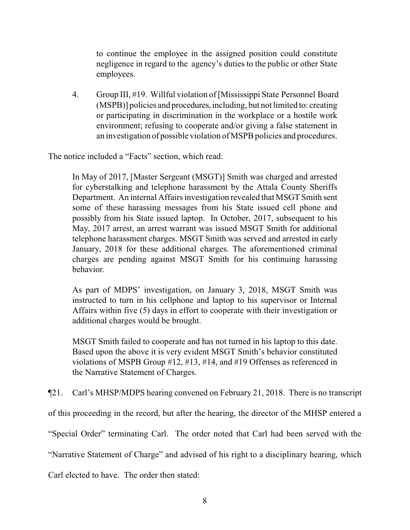to continue the employee in the assigned position could constitute negligence in regard to the agency's duties to the public or other State employees.

4. Group III, #19. Willful violation of [Mississippi State Personnel Board (MSPB)] policies and procedures,including, but not limited to: creating or participating in discrimination in the workplace or a hostile work environment; refusing to cooperate and/or giving a false statement in an investigation of possible violation of MSPB policies and procedures.

The notice included a "Facts" section, which read:

In May of 2017, [Master Sergeant (MSGT)] Smith was charged and arrested for cyberstalking and telephone harassment by the Attala County Sheriffs Department. An internal Affairs investigation revealed that MSGT Smith sent some of these harassing messages from his State issued cell phone and possibly from his State issued laptop. In October, 2017, subsequent to his May, 2017 arrest, an arrest warrant was issued MSGT Smith for additional telephone harassment charges. MSGT Smith was served and arrested in early January, 2018 for these additional charges. The aforementioned criminal charges are pending against MSGT Smith for his continuing harassing behavior.

As part of MDPS' investigation, on January 3, 2018, MSGT Smith was instructed to turn in his cellphone and laptop to his supervisor or Internal Affairs within five (5) days in effort to cooperate with their investigation or additional charges would be brought.

MSGT Smith failed to cooperate and has not turned in his laptop to this date. Based upon the above it is very evident MSGT Smith's behavior constituted violations of MSPB Group #12, #13, #14, and #19 Offenses as referenced in the Narrative Statement of Charges.

¶21. Carl's MHSP/MDPS hearing convened on February 21, 2018. There is no transcript

of this proceeding in the record, but after the hearing, the director of the MHSP entered a

"Special Order" terminating Carl. The order noted that Carl had been served with the

"Narrative Statement of Charge" and advised of his right to a disciplinary hearing, which

Carl elected to have. The order then stated: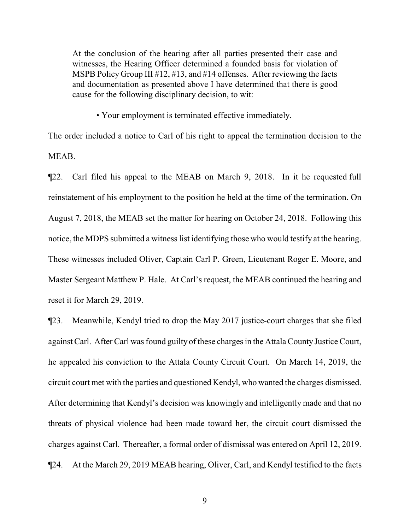At the conclusion of the hearing after all parties presented their case and witnesses, the Hearing Officer determined a founded basis for violation of MSPB Policy Group III #12, #13, and #14 offenses. After reviewing the facts and documentation as presented above I have determined that there is good cause for the following disciplinary decision, to wit:

• Your employment is terminated effective immediately.

The order included a notice to Carl of his right to appeal the termination decision to the MEAB.

¶22. Carl filed his appeal to the MEAB on March 9, 2018. In it he requested full reinstatement of his employment to the position he held at the time of the termination. On August 7, 2018, the MEAB set the matter for hearing on October 24, 2018. Following this notice, the MDPS submitted a witness list identifying those who would testify at the hearing. These witnesses included Oliver, Captain Carl P. Green, Lieutenant Roger E. Moore, and Master Sergeant Matthew P. Hale. At Carl's request, the MEAB continued the hearing and reset it for March 29, 2019.

¶23. Meanwhile, Kendyl tried to drop the May 2017 justice-court charges that she filed against Carl. After Carl was found guilty of these charges in the Attala County Justice Court, he appealed his conviction to the Attala County Circuit Court. On March 14, 2019, the circuit court met with the parties and questioned Kendyl, who wanted the charges dismissed. After determining that Kendyl's decision was knowingly and intelligently made and that no threats of physical violence had been made toward her, the circuit court dismissed the charges against Carl. Thereafter, a formal order of dismissal was entered on April 12, 2019. ¶24. At the March 29, 2019 MEAB hearing, Oliver, Carl, and Kendyl testified to the facts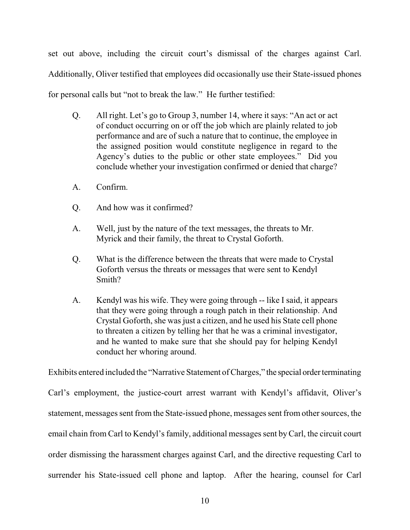set out above, including the circuit court's dismissal of the charges against Carl. Additionally, Oliver testified that employees did occasionally use their State-issued phones for personal calls but "not to break the law." He further testified:

- Q. All right. Let's go to Group 3, number 14, where it says: "An act or act of conduct occurring on or off the job which are plainly related to job performance and are of such a nature that to continue, the employee in the assigned position would constitute negligence in regard to the Agency's duties to the public or other state employees." Did you conclude whether your investigation confirmed or denied that charge?
- A. Confirm.
- Q. And how was it confirmed?
- A. Well, just by the nature of the text messages, the threats to Mr. Myrick and their family, the threat to Crystal Goforth.
- Q. What is the difference between the threats that were made to Crystal Goforth versus the threats or messages that were sent to Kendyl Smith?
- A. Kendyl was his wife. They were going through -- like I said, it appears that they were going through a rough patch in their relationship. And Crystal Goforth, she was just a citizen, and he used his State cell phone to threaten a citizen by telling her that he was a criminal investigator, and he wanted to make sure that she should pay for helping Kendyl conduct her whoring around.

Exhibits entered included the "Narrative Statement of Charges," the special order terminating Carl's employment, the justice-court arrest warrant with Kendyl's affidavit, Oliver's statement, messages sent from the State-issued phone, messages sent from other sources, the email chain from Carl to Kendyl's family, additional messages sent byCarl, the circuit court order dismissing the harassment charges against Carl, and the directive requesting Carl to surrender his State-issued cell phone and laptop. After the hearing, counsel for Carl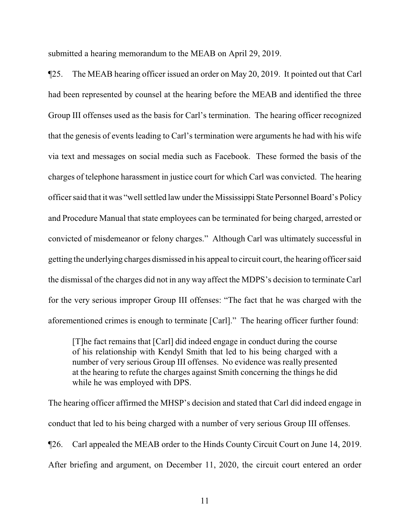submitted a hearing memorandum to the MEAB on April 29, 2019.

¶25. The MEAB hearing officer issued an order on May 20, 2019. It pointed out that Carl had been represented by counsel at the hearing before the MEAB and identified the three Group III offenses used as the basis for Carl's termination. The hearing officer recognized that the genesis of events leading to Carl's termination were arguments he had with his wife via text and messages on social media such as Facebook. These formed the basis of the charges of telephone harassment in justice court for which Carl was convicted. The hearing officer said that it was "well settled law under the Mississippi State Personnel Board's Policy and Procedure Manual that state employees can be terminated for being charged, arrested or convicted of misdemeanor or felony charges." Although Carl was ultimately successful in getting the underlying charges dismissed in his appeal to circuit court, the hearing officer said the dismissal of the charges did not in any way affect the MDPS's decision to terminate Carl for the very serious improper Group III offenses: "The fact that he was charged with the aforementioned crimes is enough to terminate [Carl]." The hearing officer further found:

[T]he fact remains that [Carl] did indeed engage in conduct during the course of his relationship with Kendyl Smith that led to his being charged with a number of very serious Group III offenses. No evidence was really presented at the hearing to refute the charges against Smith concerning the things he did while he was employed with DPS.

The hearing officer affirmed the MHSP's decision and stated that Carl did indeed engage in conduct that led to his being charged with a number of very serious Group III offenses. ¶26. Carl appealed the MEAB order to the Hinds County Circuit Court on June 14, 2019. After briefing and argument, on December 11, 2020, the circuit court entered an order

11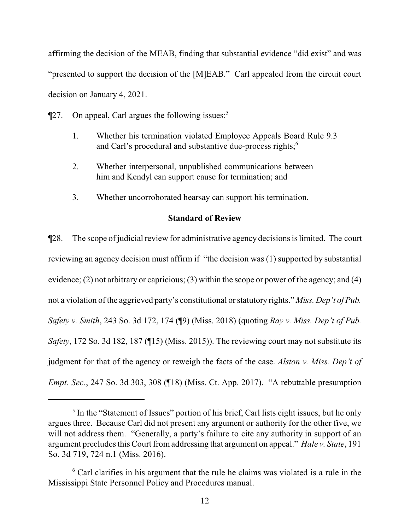affirming the decision of the MEAB, finding that substantial evidence "did exist" and was "presented to support the decision of the [M]EAB." Carl appealed from the circuit court decision on January 4, 2021.

- $\P$ 27. On appeal, Carl argues the following issues:<sup>5</sup>
	- 1. Whether his termination violated Employee Appeals Board Rule 9.3 and Carl's procedural and substantive due-process rights;<sup>6</sup>
	- 2. Whether interpersonal, unpublished communications between him and Kendyl can support cause for termination; and
	- 3. Whether uncorroborated hearsay can support his termination.

## **Standard of Review**

¶28. The scope of judicial review for administrative agency decisions is limited. The court reviewing an agency decision must affirm if "the decision was (1) supported by substantial evidence; (2) not arbitrary or capricious; (3) within the scope or power of the agency; and (4) not a violation of the aggrieved party's constitutional or statutory rights." *Miss. Dep't of Pub. Safety v. Smith*, 243 So. 3d 172, 174 (¶9) (Miss. 2018) (quoting *Ray v. Miss. Dep't of Pub. Safety*, 172 So. 3d 182, 187 (¶15) (Miss. 2015)). The reviewing court may not substitute its judgment for that of the agency or reweigh the facts of the case. *Alston v. Miss. Dep't of Empt. Sec*., 247 So. 3d 303, 308 (¶18) (Miss. Ct. App. 2017). "A rebuttable presumption

<sup>&</sup>lt;sup>5</sup> In the "Statement of Issues" portion of his brief, Carl lists eight issues, but he only argues three. Because Carl did not present any argument or authority for the other five, we will not address them. "Generally, a party's failure to cite any authority in support of an argument precludes this Court from addressing that argument on appeal." *Hale v. State*, 191 So. 3d 719, 724 n.1 (Miss. 2016).

 $6$  Carl clarifies in his argument that the rule he claims was violated is a rule in the Mississippi State Personnel Policy and Procedures manual.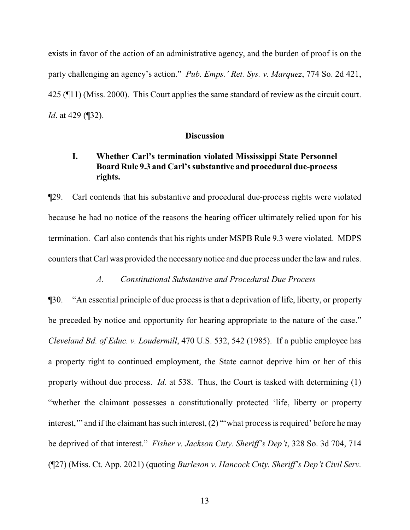exists in favor of the action of an administrative agency, and the burden of proof is on the party challenging an agency's action." *Pub. Emps.' Ret. Sys. v. Marquez*, 774 So. 2d 421, 425 (¶11) (Miss. 2000). This Court applies the same standard of review as the circuit court. *Id*. at 429 (¶32).

#### **Discussion**

## **I. Whether Carl's termination violated Mississippi State Personnel Board Rule 9.3 and Carl's substantive and procedural due-process rights.**

¶29. Carl contends that his substantive and procedural due-process rights were violated because he had no notice of the reasons the hearing officer ultimately relied upon for his termination. Carl also contends that his rights under MSPB Rule 9.3 were violated. MDPS counters that Carl was provided the necessary notice and due process under the law and rules.

## *A. Constitutional Substantive and Procedural Due Process*

¶30. "An essential principle of due process is that a deprivation of life, liberty, or property be preceded by notice and opportunity for hearing appropriate to the nature of the case." *Cleveland Bd. of Educ. v. Loudermill*, 470 U.S. 532, 542 (1985). If a public employee has a property right to continued employment, the State cannot deprive him or her of this property without due process. *Id*. at 538. Thus, the Court is tasked with determining (1) "whether the claimant possesses a constitutionally protected 'life, liberty or property interest," and if the claimant has such interest, (2) "'what process is required' before he may be deprived of that interest." *Fisher v. Jackson Cnty. Sheriff's Dep't*, 328 So. 3d 704, 714 (¶27) (Miss. Ct. App. 2021) (quoting *Burleson v. Hancock Cnty. Sheriff's Dep't Civil Serv.*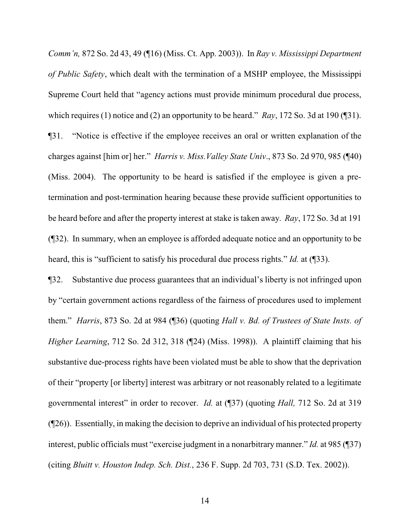*Comm'n,* 872 So. 2d 43, 49 (¶16) (Miss. Ct. App. 2003)). In *Ray v. Mississippi Department of Public Safety*, which dealt with the termination of a MSHP employee, the Mississippi Supreme Court held that "agency actions must provide minimum procedural due process, which requires (1) notice and (2) an opportunity to be heard." *Ray*, 172 So. 3d at 190 (¶31). ¶31. "Notice is effective if the employee receives an oral or written explanation of the charges against [him or] her." *Harris v. Miss.Valley State Univ*., 873 So. 2d 970, 985 (¶40) (Miss. 2004). The opportunity to be heard is satisfied if the employee is given a pretermination and post-termination hearing because these provide sufficient opportunities to be heard before and after the property interest at stake is taken away. *Ray*, 172 So. 3d at 191 (¶32). In summary, when an employee is afforded adequate notice and an opportunity to be heard, this is "sufficient to satisfy his procedural due process rights." *Id.* at (¶33).

¶32. Substantive due process guarantees that an individual's liberty is not infringed upon by "certain government actions regardless of the fairness of procedures used to implement them." *Harris*, 873 So. 2d at 984 (¶36) (quoting *Hall v. Bd. of Trustees of State Insts. of Higher Learning*, 712 So. 2d 312, 318 (¶24) (Miss. 1998)). A plaintiff claiming that his substantive due-process rights have been violated must be able to show that the deprivation of their "property [or liberty] interest was arbitrary or not reasonably related to a legitimate governmental interest" in order to recover. *Id.* at (¶37) (quoting *Hall,* 712 So. 2d at 319 (¶26)). Essentially, in making the decision to deprive an individual of his protected property interest, public officials must "exercise judgment in a nonarbitrary manner." *Id.* at 985 (¶37) (citing *Bluitt v. Houston Indep. Sch. Dist.*, 236 F. Supp. 2d 703, 731 (S.D. Tex. 2002)).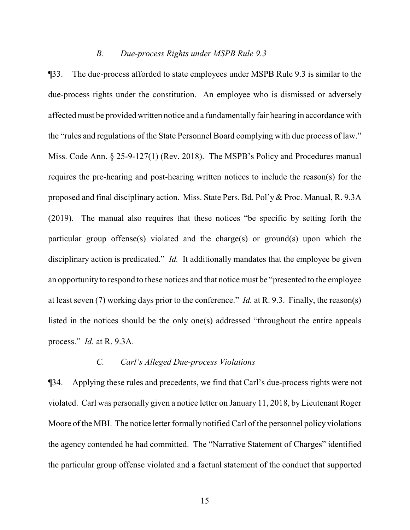#### *B. Due-process Rights under MSPB Rule 9.3*

¶33. The due-process afforded to state employees under MSPB Rule 9.3 is similar to the due-process rights under the constitution. An employee who is dismissed or adversely affected must be provided written notice and a fundamentally fair hearing in accordance with the "rules and regulations of the State Personnel Board complying with due process of law." Miss. Code Ann. § 25-9-127(1) (Rev. 2018). The MSPB's Policy and Procedures manual requires the pre-hearing and post-hearing written notices to include the reason(s) for the proposed and final disciplinary action. Miss. State Pers. Bd. Pol'y & Proc. Manual, R. 9.3A (2019). The manual also requires that these notices "be specific by setting forth the particular group offense(s) violated and the charge(s) or ground(s) upon which the disciplinary action is predicated." *Id.* It additionally mandates that the employee be given an opportunity to respond to these notices and that notice must be "presented to the employee at least seven (7) working days prior to the conference." *Id.* at R. 9.3. Finally, the reason(s) listed in the notices should be the only one(s) addressed "throughout the entire appeals process." *Id.* at R. 9.3A.

## *C. Carl's Alleged Due-process Violations*

¶34. Applying these rules and precedents, we find that Carl's due-process rights were not violated. Carl was personally given a notice letter on January 11, 2018, by Lieutenant Roger Moore of the MBI. The notice letter formally notified Carl of the personnel policy violations the agency contended he had committed. The "Narrative Statement of Charges" identified the particular group offense violated and a factual statement of the conduct that supported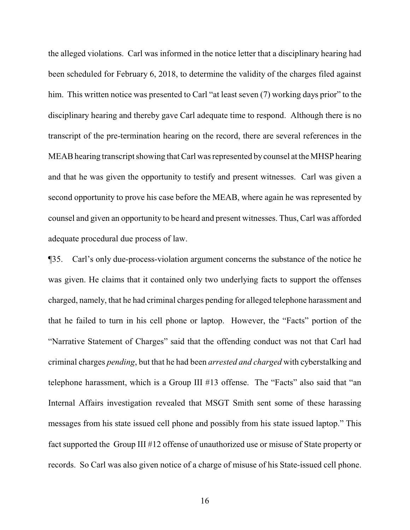the alleged violations. Carl was informed in the notice letter that a disciplinary hearing had been scheduled for February 6, 2018, to determine the validity of the charges filed against him. This written notice was presented to Carl "at least seven (7) working days prior" to the disciplinary hearing and thereby gave Carl adequate time to respond. Although there is no transcript of the pre-termination hearing on the record, there are several references in the MEAB hearing transcript showing that Carl was represented bycounsel at the MHSP hearing and that he was given the opportunity to testify and present witnesses. Carl was given a second opportunity to prove his case before the MEAB, where again he was represented by counsel and given an opportunity to be heard and present witnesses. Thus, Carl was afforded adequate procedural due process of law.

¶35. Carl's only due-process-violation argument concerns the substance of the notice he was given. He claims that it contained only two underlying facts to support the offenses charged, namely, that he had criminal charges pending for alleged telephone harassment and that he failed to turn in his cell phone or laptop. However, the "Facts" portion of the "Narrative Statement of Charges" said that the offending conduct was not that Carl had criminal charges *pending*, but that he had been *arrested and charged* with cyberstalking and telephone harassment, which is a Group III #13 offense. The "Facts" also said that "an Internal Affairs investigation revealed that MSGT Smith sent some of these harassing messages from his state issued cell phone and possibly from his state issued laptop." This fact supported the Group III #12 offense of unauthorized use or misuse of State property or records. So Carl was also given notice of a charge of misuse of his State-issued cell phone.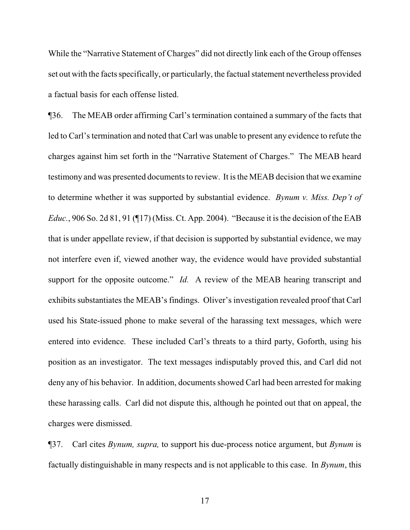While the "Narrative Statement of Charges" did not directly link each of the Group offenses set out with the facts specifically, or particularly, the factual statement nevertheless provided a factual basis for each offense listed.

¶36. The MEAB order affirming Carl's termination contained a summary of the facts that led to Carl's termination and noted that Carl was unable to present any evidence to refute the charges against him set forth in the "Narrative Statement of Charges." The MEAB heard testimony and was presented documents to review. It is the MEAB decision that we examine to determine whether it was supported by substantial evidence. *Bynum v. Miss. Dep't of Educ.*, 906 So. 2d 81, 91 (¶17) (Miss. Ct. App. 2004). "Because it is the decision of the EAB that is under appellate review, if that decision is supported by substantial evidence, we may not interfere even if, viewed another way, the evidence would have provided substantial support for the opposite outcome." *Id.* A review of the MEAB hearing transcript and exhibits substantiates the MEAB's findings. Oliver's investigation revealed proof that Carl used his State-issued phone to make several of the harassing text messages, which were entered into evidence. These included Carl's threats to a third party, Goforth, using his position as an investigator. The text messages indisputably proved this, and Carl did not deny any of his behavior. In addition, documents showed Carl had been arrested for making these harassing calls. Carl did not dispute this, although he pointed out that on appeal, the charges were dismissed.

¶37. Carl cites *Bynum, supra,* to support his due-process notice argument, but *Bynum* is factually distinguishable in many respects and is not applicable to this case. In *Bynum*, this

17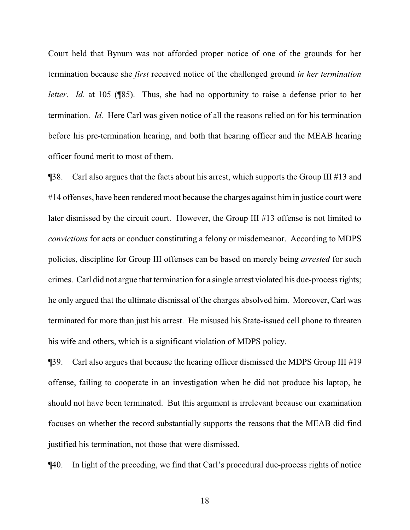Court held that Bynum was not afforded proper notice of one of the grounds for her termination because she *first* received notice of the challenged ground *in her termination letter. Id.* at 105 (¶85). Thus, she had no opportunity to raise a defense prior to her termination. *Id.* Here Carl was given notice of all the reasons relied on for his termination before his pre-termination hearing, and both that hearing officer and the MEAB hearing officer found merit to most of them.

¶38. Carl also argues that the facts about his arrest, which supports the Group III #13 and #14 offenses, have been rendered moot because the charges against him in justice court were later dismissed by the circuit court. However, the Group III #13 offense is not limited to *convictions* for acts or conduct constituting a felony or misdemeanor. According to MDPS policies, discipline for Group III offenses can be based on merely being *arrested* for such crimes. Carl did not argue that termination for a single arrest violated his due-process rights; he only argued that the ultimate dismissal of the charges absolved him. Moreover, Carl was terminated for more than just his arrest. He misused his State-issued cell phone to threaten his wife and others, which is a significant violation of MDPS policy.

¶39. Carl also argues that because the hearing officer dismissed the MDPS Group III #19 offense, failing to cooperate in an investigation when he did not produce his laptop, he should not have been terminated. But this argument is irrelevant because our examination focuses on whether the record substantially supports the reasons that the MEAB did find justified his termination, not those that were dismissed.

¶40. In light of the preceding, we find that Carl's procedural due-process rights of notice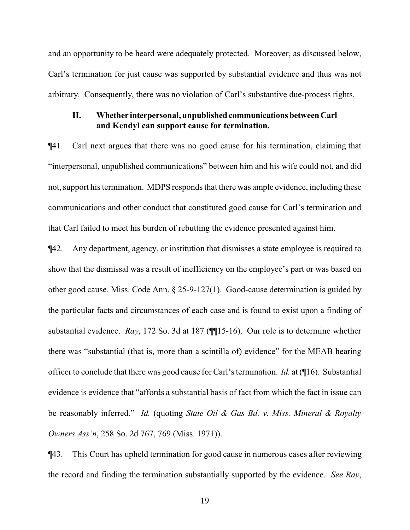and an opportunity to be heard were adequately protected. Moreover, as discussed below, Carl's termination for just cause was supported by substantial evidence and thus was not arbitrary. Consequently, there was no violation of Carl's substantive due-process rights.

## **II.** Whether interpersonal, unpublished communications between Carl **and Kendyl can support cause for termination.**

¶41. Carl next argues that there was no good cause for his termination, claiming that "interpersonal, unpublished communications" between him and his wife could not, and did not, support his termination. MDPS responds that there was ample evidence, including these communications and other conduct that constituted good cause for Carl's termination and that Carl failed to meet his burden of rebutting the evidence presented against him.

¶42. Any department, agency, or institution that dismisses a state employee is required to show that the dismissal was a result of inefficiency on the employee's part or was based on other good cause. Miss. Code Ann. § 25-9-127(1). Good-cause determination is guided by the particular facts and circumstances of each case and is found to exist upon a finding of substantial evidence. *Ray*, 172 So. 3d at 187 (¶¶15-16). Our role is to determine whether there was "substantial (that is, more than a scintilla of) evidence" for the MEAB hearing officer to conclude that there was good cause for Carl's termination. *Id.* at (¶16). Substantial evidence is evidence that "affords a substantial basis of fact from which the fact in issue can be reasonably inferred." *Id.* (quoting *State Oil & Gas Bd. v. Miss. Mineral & Royalty Owners Ass'n*, 258 So. 2d 767, 769 (Miss. 1971)).

¶43. This Court has upheld termination for good cause in numerous cases after reviewing the record and finding the termination substantially supported by the evidence. *See Ray*,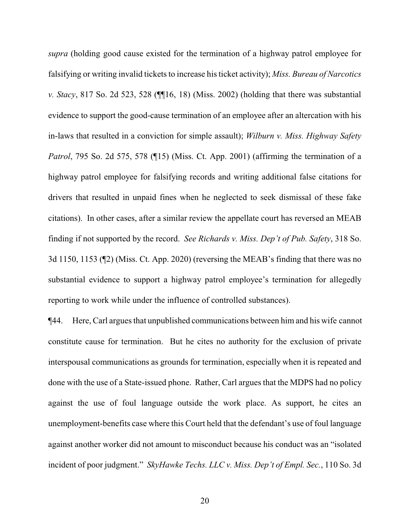*supra* (holding good cause existed for the termination of a highway patrol employee for falsifying or writing invalid tickets to increase his ticket activity); *Miss. Bureau of Narcotics v. Stacy*, 817 So. 2d 523, 528 (¶¶16, 18) (Miss. 2002) (holding that there was substantial evidence to support the good-cause termination of an employee after an altercation with his in-laws that resulted in a conviction for simple assault); *Wilburn v. Miss. Highway Safety Patrol*, 795 So. 2d 575, 578 (¶15) (Miss. Ct. App. 2001) (affirming the termination of a highway patrol employee for falsifying records and writing additional false citations for drivers that resulted in unpaid fines when he neglected to seek dismissal of these fake citations). In other cases, after a similar review the appellate court has reversed an MEAB finding if not supported by the record. *See Richards v. Miss. Dep't of Pub. Safety*, 318 So. 3d 1150, 1153 (¶2) (Miss. Ct. App. 2020) (reversing the MEAB's finding that there was no substantial evidence to support a highway patrol employee's termination for allegedly reporting to work while under the influence of controlled substances).

¶44. Here, Carl argues that unpublished communications between him and his wife cannot constitute cause for termination. But he cites no authority for the exclusion of private interspousal communications as grounds for termination, especially when it is repeated and done with the use of a State-issued phone. Rather, Carl argues that the MDPS had no policy against the use of foul language outside the work place. As support, he cites an unemployment-benefits case where this Court held that the defendant's use of foul language against another worker did not amount to misconduct because his conduct was an "isolated incident of poor judgment." *SkyHawke Techs. LLC v. Miss. Dep't of Empl. Sec.*, 110 So. 3d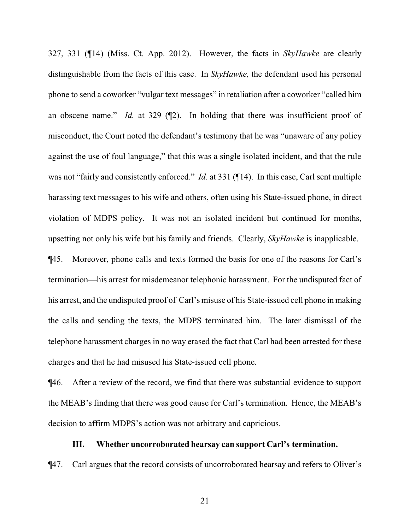327, 331 (¶14) (Miss. Ct. App. 2012). However, the facts in *SkyHawke* are clearly distinguishable from the facts of this case. In *SkyHawke,* the defendant used his personal phone to send a coworker "vulgar text messages" in retaliation after a coworker "called him an obscene name." *Id.* at 329 (¶2). In holding that there was insufficient proof of misconduct, the Court noted the defendant's testimony that he was "unaware of any policy against the use of foul language," that this was a single isolated incident, and that the rule was not "fairly and consistently enforced." *Id.* at 331 (¶14). In this case, Carl sent multiple harassing text messages to his wife and others, often using his State-issued phone, in direct violation of MDPS policy. It was not an isolated incident but continued for months, upsetting not only his wife but his family and friends. Clearly, *SkyHawke* is inapplicable.

¶45. Moreover, phone calls and texts formed the basis for one of the reasons for Carl's termination—his arrest for misdemeanor telephonic harassment. For the undisputed fact of his arrest, and the undisputed proof of Carl's misuse of his State-issued cell phone in making the calls and sending the texts, the MDPS terminated him. The later dismissal of the telephone harassment charges in no way erased the fact that Carl had been arrested for these charges and that he had misused his State-issued cell phone.

¶46. After a review of the record, we find that there was substantial evidence to support the MEAB's finding that there was good cause for Carl's termination. Hence, the MEAB's decision to affirm MDPS's action was not arbitrary and capricious.

#### **III. Whether uncorroborated hearsay can support Carl's termination.**

¶47. Carl argues that the record consists of uncorroborated hearsay and refers to Oliver's

21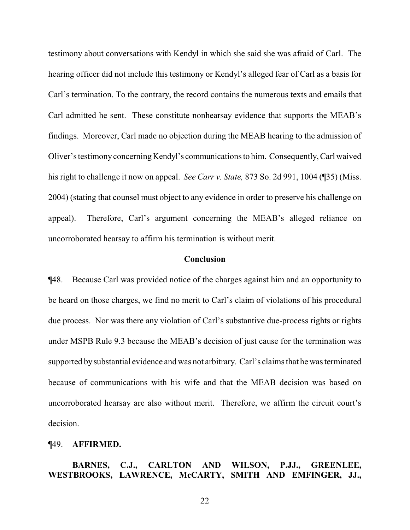testimony about conversations with Kendyl in which she said she was afraid of Carl. The hearing officer did not include this testimony or Kendyl's alleged fear of Carl as a basis for Carl's termination. To the contrary, the record contains the numerous texts and emails that Carl admitted he sent. These constitute nonhearsay evidence that supports the MEAB's findings. Moreover, Carl made no objection during the MEAB hearing to the admission of Oliver's testimonyconcerning Kendyl's communications to him. Consequently,Carl waived his right to challenge it now on appeal. *See Carr v. State,* 873 So. 2d 991, 1004 (¶35) (Miss. 2004) (stating that counsel must object to any evidence in order to preserve his challenge on appeal). Therefore, Carl's argument concerning the MEAB's alleged reliance on uncorroborated hearsay to affirm his termination is without merit.

## **Conclusion**

¶48. Because Carl was provided notice of the charges against him and an opportunity to be heard on those charges, we find no merit to Carl's claim of violations of his procedural due process. Nor was there any violation of Carl's substantive due-process rights or rights under MSPB Rule 9.3 because the MEAB's decision of just cause for the termination was supported by substantial evidence and was not arbitrary. Carl's claims that he was terminated because of communications with his wife and that the MEAB decision was based on uncorroborated hearsay are also without merit. Therefore, we affirm the circuit court's decision.

#### ¶49. **AFFIRMED.**

## **BARNES, C.J., CARLTON AND WILSON, P.JJ., GREENLEE, WESTBROOKS, LAWRENCE, McCARTY, SMITH AND EMFINGER, JJ.,**